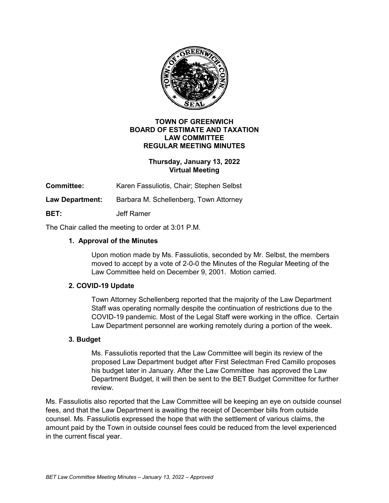

#### **TOWN OF GREENWICH BOARD OF ESTIMATE AND TAXATION LAW COMMITTEE REGULAR MEETING MINUTES**

# **Thursday, January 13, 2022 Virtual Meeting**

**Committee:** Karen Fassuliotis, Chair; Stephen Selbst

**Law Department:** Barbara M. Schellenberg, Town Attorney

**BET:** Jeff Ramer

The Chair called the meeting to order at 3:01 P.M.

## **1. Approval of the Minutes**

Upon motion made by Ms. Fassuliotis, seconded by Mr. Selbst, the members moved to accept by a vote of 2-0-0 the Minutes of the Regular Meeting of the Law Committee held on December 9, 2001. Motion carried.

### **2. COVID-19 Update**

Town Attorney Schellenberg reported that the majority of the Law Department Staff was operating normally despite the continuation of restrictions due to the COVID-19 pandemic. Most of the Legal Staff were working in the office. Certain Law Department personnel are working remotely during a portion of the week.

### **3. Budget**

Ms. Fassuliotis reported that the Law Committee will begin its review of the proposed Law Department budget after First Selectman Fred Camillo proposes his budget later in January. After the Law Committee has approved the Law Department Budget, it will then be sent to the BET Budget Committee for further review.

Ms. Fassuliotis also reported that the Law Committee will be keeping an eye on outside counsel fees, and that the Law Department is awaiting the receipt of December bills from outside counsel. Ms. Fassuliotis expressed the hope that with the settlement of various claims, the amount paid by the Town in outside counsel fees could be reduced from the level experienced in the current fiscal year.